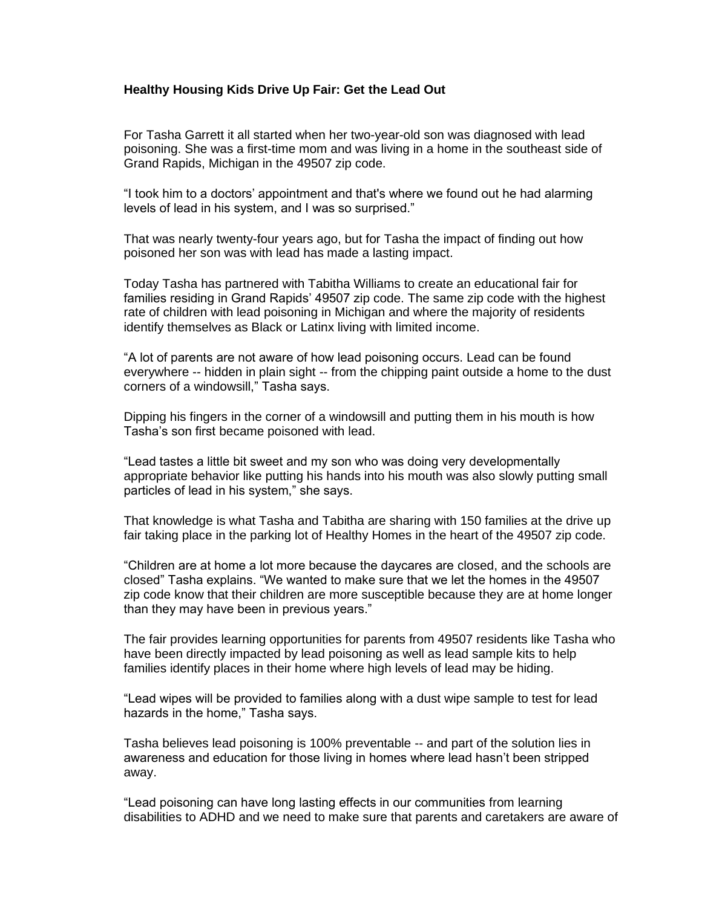## **Healthy Housing Kids Drive Up Fair: Get the Lead Out**

For Tasha Garrett it all started when her two-year-old son was diagnosed with lead poisoning. She was a first-time mom and was living in a home in the southeast side of Grand Rapids, Michigan in the 49507 zip code.

"I took him to a doctors' appointment and that's where we found out he had alarming levels of lead in his system, and I was so surprised."

That was nearly twenty-four years ago, but for Tasha the impact of finding out how poisoned her son was with lead has made a lasting impact.

Today Tasha has partnered with Tabitha Williams to create an educational fair for families residing in Grand Rapids' 49507 zip code. The same zip code with the highest rate of children with lead poisoning in Michigan and where the majority of residents identify themselves as Black or Latinx living with limited income.

"A lot of parents are not aware of how lead poisoning occurs. Lead can be found everywhere -- hidden in plain sight -- from the chipping paint outside a home to the dust corners of a windowsill," Tasha says.

Dipping his fingers in the corner of a windowsill and putting them in his mouth is how Tasha's son first became poisoned with lead.

"Lead tastes a little bit sweet and my son who was doing very developmentally appropriate behavior like putting his hands into his mouth was also slowly putting small particles of lead in his system," she says.

That knowledge is what Tasha and Tabitha are sharing with 150 families at the drive up fair taking place in the parking lot of Healthy Homes in the heart of the 49507 zip code.

"Children are at home a lot more because the daycares are closed, and the schools are closed" Tasha explains. "We wanted to make sure that we let the homes in the 49507 zip code know that their children are more susceptible because they are at home longer than they may have been in previous years."

The fair provides learning opportunities for parents from 49507 residents like Tasha who have been directly impacted by lead poisoning as well as lead sample kits to help families identify places in their home where high levels of lead may be hiding.

"Lead wipes will be provided to families along with a dust wipe sample to test for lead hazards in the home," Tasha says.

Tasha believes lead poisoning is 100% preventable -- and part of the solution lies in awareness and education for those living in homes where lead hasn't been stripped away.

"Lead poisoning can have long lasting effects in our communities from learning disabilities to ADHD and we need to make sure that parents and caretakers are aware of